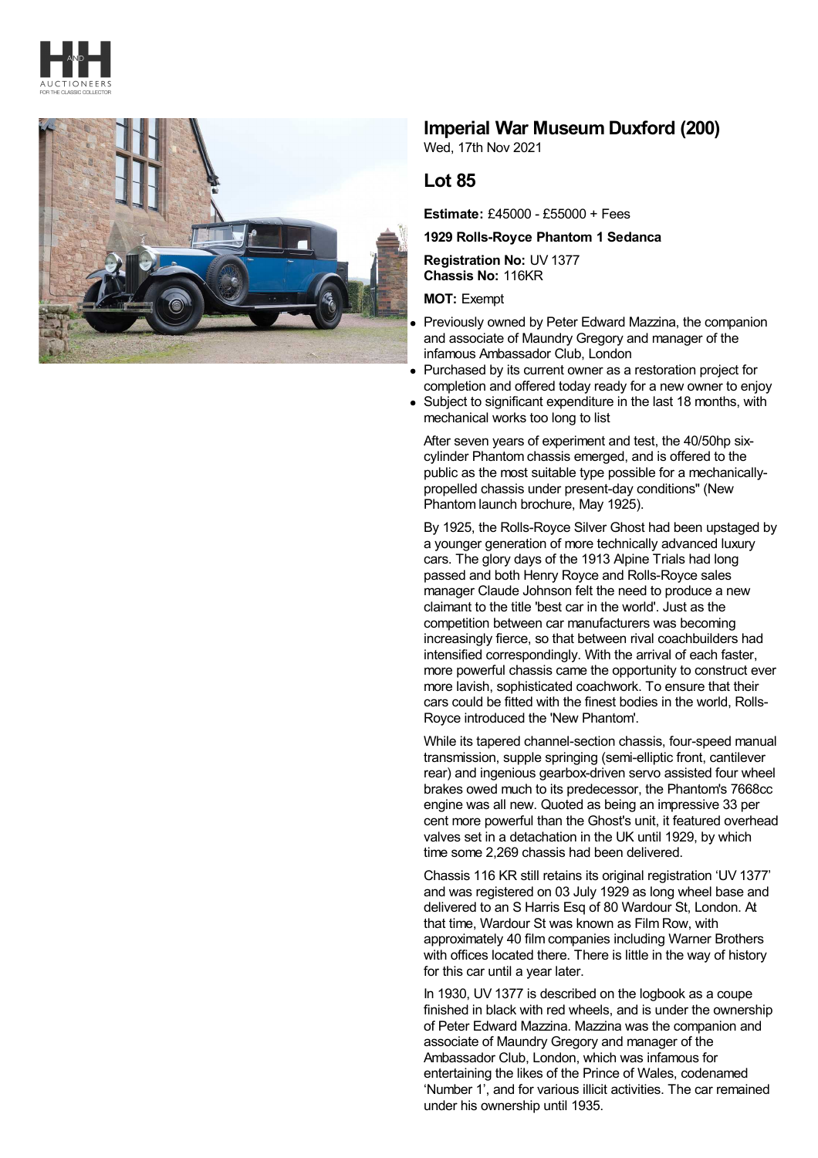



## **Imperial War Museum Duxford (200)**

Wed, 17th Nov 2021

## **Lot 85**

**Estimate:** £45000 - £55000 + Fees

## **1929 Rolls-Royce Phantom 1 Sedanca**

**Registration No:** UV 1377 **Chassis No:** 116KR

**MOT:** Exempt

- Previously owned by Peter Edward Mazzina, the companion and associate of Maundry Gregory and manager of the infamous Ambassador Club, London
- Purchased by its current owner as a restoration project for completion and offered today ready for a new owner to enjoy
- Subject to significant expenditure in the last 18 months, with mechanical works too long to list

After seven years of experiment and test, the 40/50hp sixcylinder Phantom chassis emerged, and is offered to the public as the most suitable type possible for a mechanicallypropelled chassis under present-day conditions" (New Phantom launch brochure, May 1925).

By 1925, the Rolls-Royce Silver Ghost had been upstaged by a younger generation of more technically advanced luxury cars. The glory days of the 1913 Alpine Trials had long passed and both Henry Royce and Rolls-Royce sales manager Claude Johnson felt the need to produce a new claimant to the title 'best car in the world'. Just as the competition between car manufacturers was becoming increasingly fierce, so that between rival coachbuilders had intensified correspondingly. With the arrival of each faster, more powerful chassis came the opportunity to construct ever more lavish, sophisticated coachwork. To ensure that their cars could be fitted with the finest bodies in the world, Rolls-Royce introduced the 'New Phantom'.

While its tapered channel-section chassis, four-speed manual transmission, supple springing (semi-elliptic front, cantilever rear) and ingenious gearbox-driven servo assisted four wheel brakes owed much to its predecessor, the Phantom's 7668cc engine was all new. Quoted as being an impressive 33 per cent more powerful than the Ghost's unit, it featured overhead valves set in a detachation in the UK until 1929, by which time some 2,269 chassis had been delivered.

Chassis 116 KR still retains its original registration 'UV 1377' and was registered on 03 July 1929 as long wheel base and delivered to an S Harris Esq of 80 Wardour St, London. At that time, Wardour St was known as Film Row, with approximately 40 film companies including Warner Brothers with offices located there. There is little in the way of history for this car until a year later.

In 1930, UV 1377 is described on the logbook as a coupe finished in black with red wheels, and is under the ownership of Peter Edward Mazzina. Mazzina was the companion and associate of Maundry Gregory and manager of the Ambassador Club, London, which was infamous for entertaining the likes of the Prince of Wales, codenamed 'Number 1', and for various illicit activities. The car remained under his ownership until 1935.